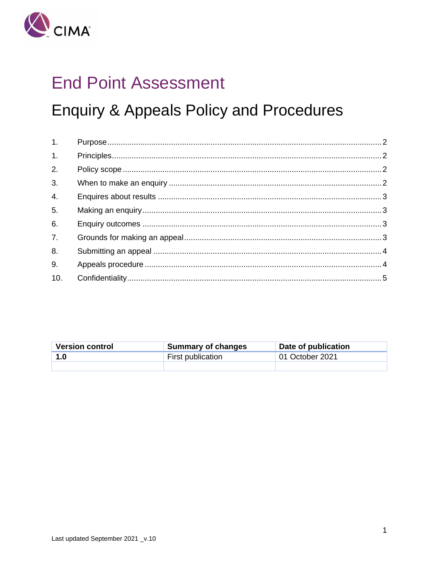

# **End Point Assessment**

# **Enquiry & Appeals Policy and Procedures**

| 1.               |  |
|------------------|--|
| 1.               |  |
| 2.               |  |
| 3.               |  |
| $\overline{4}$ . |  |
| 5.               |  |
| 6.               |  |
| 7.               |  |
| 8.               |  |
| 9.               |  |
| 10.              |  |

| <b>Version control</b> | Summary of changes | Date of publication |
|------------------------|--------------------|---------------------|
| 1.0                    | First publication  | 01 October 2021     |
|                        |                    |                     |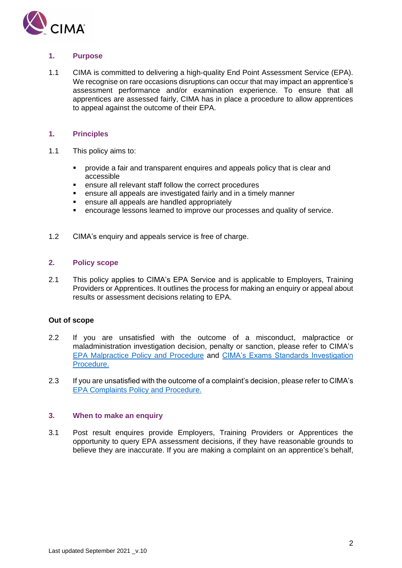<span id="page-1-0"></span>

# **1. Purpose**

<span id="page-1-1"></span>1.1 CIMA is committed to delivering a high-quality End Point Assessment Service (EPA). We recognise on rare occasions disruptions can occur that may impact an apprentice's assessment performance and/or examination experience. To ensure that all apprentices are assessed fairly, CIMA has in place a procedure to allow apprentices to appeal against the outcome of their EPA.

# **1. Principles**

- 1.1 This policy aims to:
	- provide a fair and transparent enquires and appeals policy that is clear and accessible
	- ensure all relevant staff follow the correct procedures
	- ensure all appeals are investigated fairly and in a timely manner
	- ensure all appeals are handled appropriately
	- encourage lessons learned to improve our processes and quality of service.
- <span id="page-1-2"></span>1.2 CIMA's enquiry and appeals service is free of charge.

# **2. Policy scope**

2.1 This policy applies to CIMA's EPA Service and is applicable to Employers, Training Providers or Apprentices. It outlines the process for making an enquiry or appeal about results or assessment decisions relating to EPA.

# **Out of scope**

- 2.2 If you are unsatisfied with the outcome of a misconduct, malpractice or maladministration investigation decision, penalty or sanction, please refer to CIMA's EPA Malpractice [Policy and Procedure](http://www.cimaglobal.com/Documents/Exam/EPA%20Malpractice%20Policy%20and%20Procedures_V1.0.pdf) and [CIMA's Exams Standards Investigation](https://www.cimaglobal.com/Documents/Exam/Exam%20Standards%20Investigation%20Procedure_Final%20V1.0.pdf)  [Procedure.](https://www.cimaglobal.com/Documents/Exam/Exam%20Standards%20Investigation%20Procedure_Final%20V1.0.pdf)
- <span id="page-1-3"></span>2.3 If you are unsatisfied with the outcome of a complaint's decision, please refer to CIMA's EPA [Complaints Policy and Procedure.](http://www.cimaglobal.com/Documents/Exam/EPA%20Complaints%20policy%20and%20procedures_1.0.pdf)

# **3. When to make an enquiry**

3.1 Post result enquires provide Employers, Training Providers or Apprentices the opportunity to query EPA assessment decisions, if they have reasonable grounds to believe they are inaccurate. If you are making a complaint on an apprentice's behalf,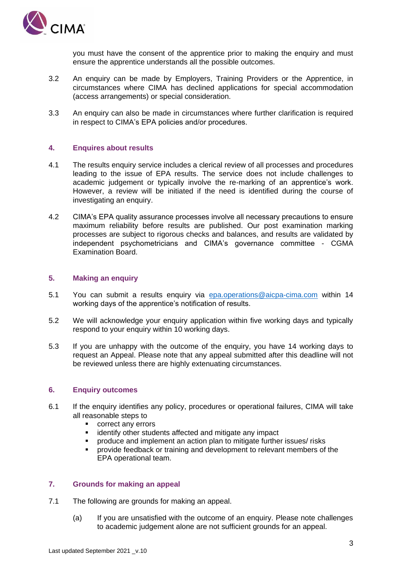

you must have the consent of the apprentice prior to making the enquiry and must ensure the apprentice understands all the possible outcomes.

- 3.2 An enquiry can be made by Employers, Training Providers or the Apprentice, in circumstances where CIMA has declined applications for special accommodation (access arrangements) or special consideration.
- <span id="page-2-0"></span>3.3 An enquiry can also be made in circumstances where further clarification is required in respect to CIMA's EPA policies and/or procedures.

### **4. Enquires about results**

- 4.1 The results enquiry service includes a clerical review of all processes and procedures leading to the issue of EPA results. The service does not include challenges to academic judgement or typically involve the re-marking of an apprentice's work. However, a review will be initiated if the need is identified during the course of investigating an enquiry.
- <span id="page-2-1"></span>4.2 CIMA's EPA quality assurance processes involve all necessary precautions to ensure maximum reliability before results are published. Our post examination marking processes are subject to rigorous checks and balances, and results are validated by independent psychometricians and CIMA's governance committee - CGMA Examination Board.

# **5. Making an enquiry**

- 5.1 You can submit a results enquiry via [epa.operations@aicpa-cima.com](mailto:epa.operations@aicpa-cima.com) within 14 working days of the apprentice's notification of results.
- 5.2 We will acknowledge your enquiry application within five working days and typically respond to your enquiry within 10 working days.
- <span id="page-2-2"></span>5.3 If you are unhappy with the outcome of the enquiry, you have 14 working days to request an Appeal. Please note that any appeal submitted after this deadline will not be reviewed unless there are highly extenuating circumstances.

#### **6. Enquiry outcomes**

- 6.1 If the enquiry identifies any policy, procedures or operational failures, CIMA will take all reasonable steps to
	- correct any errors
	- identify other students affected and mitigate any impact
	- produce and implement an action plan to mitigate further issues/ risks
	- provide feedback or training and development to relevant members of the EPA operational team.

# <span id="page-2-3"></span>**7. Grounds for making an appeal**

- 7.1 The following are grounds for making an appeal.
	- (a) If you are unsatisfied with the outcome of an enquiry. Please note challenges to academic judgement alone are not sufficient grounds for an appeal.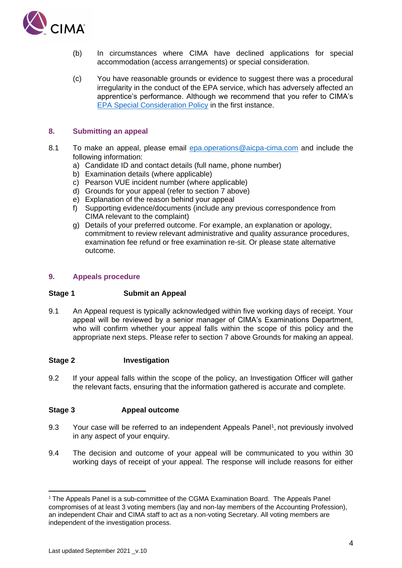

- (b) In circumstances where CIMA have declined applications for special accommodation (access arrangements) or special consideration.
- <span id="page-3-0"></span>(c) You have reasonable grounds or evidence to suggest there was a procedural irregularity in the conduct of the EPA service, which has adversely affected an apprentice's performance. Although we recommend that you refer to CIMA's [EPA Special Consideration Policy](https://www.cimaglobal.com/Documents/Exam/EPA%20Special%20consideration%20policy_2.0%20active%20December%202020.pdf) in the first instance.

## **8. Submitting an appeal**

- 8.1 To make an appeal, please email [epa.operations@aicpa-cima.com](mailto:epa.operations@aicpa-cima.com) and include the following information:
	- a) Candidate ID and contact details (full name, phone number)
	- b) Examination details (where applicable)
	- c) Pearson VUE incident number (where applicable)
	- d) Grounds for your appeal (refer to section 7 above)
	- e) Explanation of the reason behind your appeal
	- f) Supporting evidence/documents (include any previous correspondence from CIMA relevant to the complaint)
	- g) Details of your preferred outcome. For example, an explanation or apology, commitment to review relevant administrative and quality assurance procedures, examination fee refund or free examination re-sit. Or please state alternative outcome.

### <span id="page-3-1"></span>**9. Appeals procedure**

#### **Stage 1 Submit an Appeal**

9.1 An Appeal request is typically acknowledged within five working days of receipt. Your appeal will be reviewed by a senior manager of CIMA's Examinations Department, who will confirm whether your appeal falls within the scope of this policy and the appropriate next steps. Please refer to section 7 above Grounds for making an appeal.

#### **Stage 2 Investigation**

9.2 If your appeal falls within the scope of the policy, an Investigation Officer will gather the relevant facts, ensuring that the information gathered is accurate and complete.

# **Stage 3 Appeal outcome**

- 9.3 Your case will be referred to an independent Appeals Panel<sup>1</sup>, not previously involved in any aspect of your enquiry.
- 9.4 The decision and outcome of your appeal will be communicated to you within 30 working days of receipt of your appeal. The response will include reasons for either

 $1$ <sup>1</sup> The Appeals Panel is a sub-committee of the CGMA Examination Board. The Appeals Panel compromises of at least 3 voting members (lay and non-lay members of the Accounting Profession), an independent Chair and CIMA staff to act as a non-voting Secretary. All voting members are independent of the investigation process.